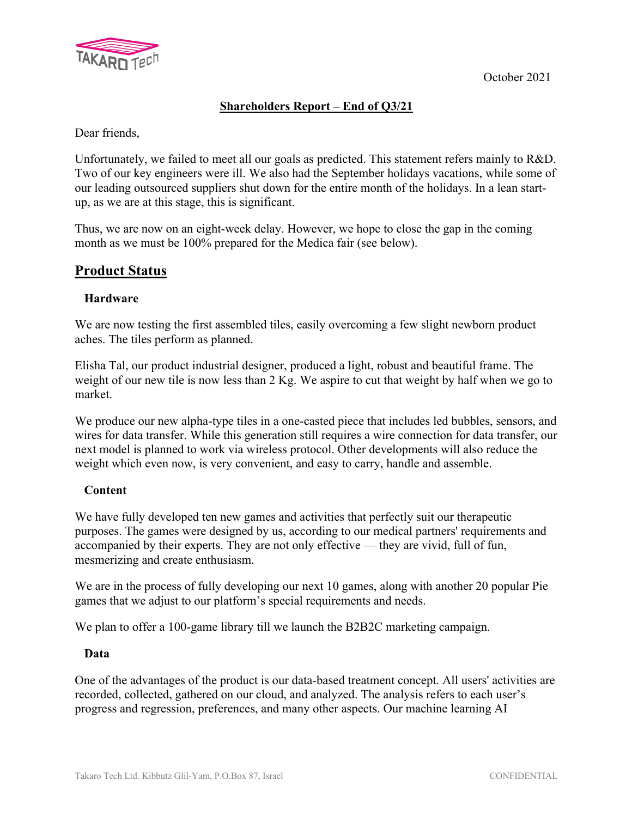

### **Shareholders Report – End of Q3/21**

Dear friends,

Unfortunately, we failed to meet all our goals as predicted. This statement refers mainly to R&D. Two of our key engineers were ill. We also had the September holidays vacations, while some of our leading outsourced suppliers shut down for the entire month of the holidays. In a lean startup, as we are at this stage, this is significant.

Thus, we are now on an eight-week delay. However, we hope to close the gap in the coming month as we must be 100% prepared for the Medica fair (see below).

### **Product Status**

#### **Hardware**

We are now testing the first assembled tiles, easily overcoming a few slight newborn product aches. The tiles perform as planned.

Elisha Tal, our product industrial designer, produced a light, robust and beautiful frame. The weight of our new tile is now less than 2 Kg. We aspire to cut that weight by half when we go to market.

We produce our new alpha-type tiles in a one-casted piece that includes led bubbles, sensors, and wires for data transfer. While this generation still requires a wire connection for data transfer, our next model is planned to work via wireless protocol. Other developments will also reduce the weight which even now, is very convenient, and easy to carry, handle and assemble.

#### **Content**

We have fully developed ten new games and activities that perfectly suit our therapeutic purposes. The games were designed by us, according to our medical partners' requirements and accompanied by their experts. They are not only effective — they are vivid, full of fun, mesmerizing and create enthusiasm.

We are in the process of fully developing our next 10 games, along with another 20 popular Pie games that we adjust to our platform's special requirements and needs.

We plan to offer a 100-game library till we launch the B2B2C marketing campaign.

#### **Data**

One of the advantages of the product is our data-based treatment concept. All users' activities are recorded, collected, gathered on our cloud, and analyzed. The analysis refers to each user's progress and regression, preferences, and many other aspects. Our machine learning AI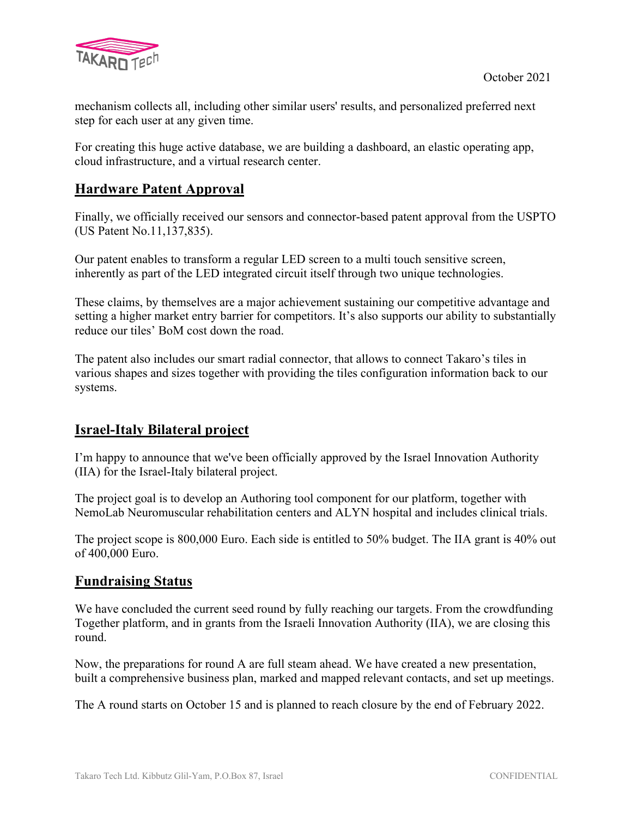

mechanism collects all, including other similar users' results, and personalized preferred next step for each user at any given time.

For creating this huge active database, we are building a dashboard, an elastic operating app, cloud infrastructure, and a virtual research center.

## **Hardware Patent Approval**

Finally, we officially received our sensors and connector-based patent approval from the USPTO (US Patent No.11,137,835).

Our patent enables to transform a regular LED screen to a multi touch sensitive screen, inherently as part of the LED integrated circuit itself through two unique technologies.

These claims, by themselves are a major achievement sustaining our competitive advantage and setting a higher market entry barrier for competitors. It's also supports our ability to substantially reduce our tiles' BoM cost down the road.

The patent also includes our smart radial connector, that allows to connect Takaro's tiles in various shapes and sizes together with providing the tiles configuration information back to our systems.

## **Israel-Italy Bilateral project**

I'm happy to announce that we've been officially approved by the Israel Innovation Authority (IIA) for the Israel-Italy bilateral project.

The project goal is to develop an Authoring tool component for our platform, together with NemoLab Neuromuscular rehabilitation centers and ALYN hospital and includes clinical trials.

The project scope is 800,000 Euro. Each side is entitled to 50% budget. The IIA grant is 40% out of 400,000 Euro.

## **Fundraising Status**

We have concluded the current seed round by fully reaching our targets. From the crowdfunding Together platform, and in grants from the Israeli Innovation Authority (IIA), we are closing this round.

Now, the preparations for round A are full steam ahead. We have created a new presentation, built a comprehensive business plan, marked and mapped relevant contacts, and set up meetings.

The A round starts on October 15 and is planned to reach closure by the end of February 2022.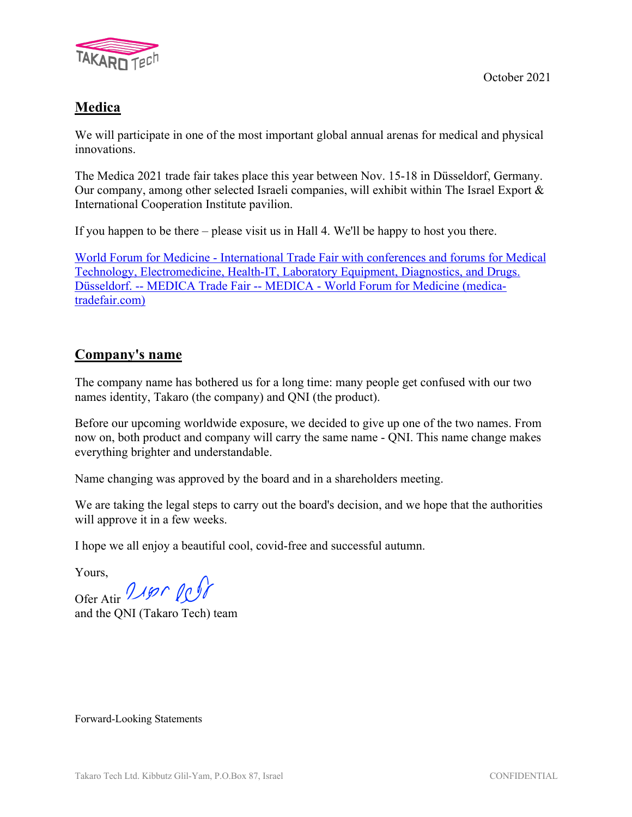

# **Medica**

We will participate in one of the most important global annual arenas for medical and physical innovations.

The Medica 2021 trade fair takes place this year between Nov. 15-18 in Düsseldorf, Germany. Our company, among other selected Israeli companies, will exhibit within The Israel Export  $\&$ International Cooperation Institute pavilion.

If you happen to be there – please visit us in Hall 4. We'll be happy to host you there.

World Forum for Medicine - International Trade Fair with conferences and forums for Medical Technology, Electromedicine, Health-IT, Laboratory Equipment, Diagnostics, and Drugs. Düsseldorf. -- MEDICA Trade Fair -- MEDICA - World Forum for Medicine (medicatradefair.com)

## **Company's name**

The company name has bothered us for a long time: many people get confused with our two names identity, Takaro (the company) and QNI (the product).

Before our upcoming worldwide exposure, we decided to give up one of the two names. From now on, both product and company will carry the same name - QNI. This name change makes everything brighter and understandable.

Name changing was approved by the board and in a shareholders meeting.

We are taking the legal steps to carry out the board's decision, and we hope that the authorities will approve it in a few weeks.

I hope we all enjoy a beautiful cool, covid-free and successful autumn.

Yours,

Ofer Atir 2190 PCP

and the QNI (Takaro Tech) team

Forward-Looking Statements